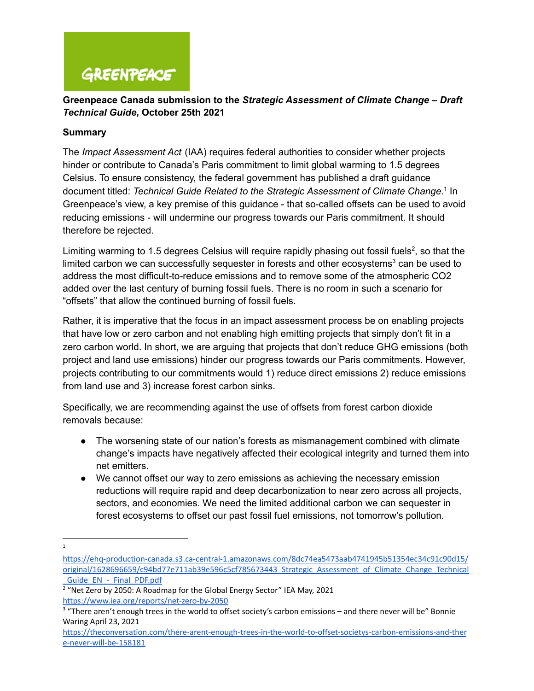### **Greenpeace Canada submission to the** *Strategic Assessment of Climate Change – Draft Technical Guide***, October 25th 2021**

#### **Summary**

The *Impact Assessment Act* (IAA) requires federal authorities to consider whether projects hinder or contribute to Canada's Paris commitment to limit global warming to 1.5 degrees Celsius. To ensure consistency, the federal government has published a draft guidance document titled: *Technical Guide Related to the Strategic Assessment of Climate Change*. In 1 Greenpeace's view, a key premise of this guidance - that so-called offsets can be used to avoid reducing emissions - will undermine our progress towards our Paris commitment. It should therefore be rejected.

Limiting warming to 1.5 degrees Celsius will require rapidly phasing out fossil fuels<sup>2</sup>, so that the limited carbon we can successfully sequester in forests and other ecosystems<sup>3</sup> can be used to address the most difficult-to-reduce emissions and to remove some of the atmospheric CO2 added over the last century of burning fossil fuels. There is no room in such a scenario for "offsets" that allow the continued burning of fossil fuels.

Rather, it is imperative that the focus in an impact assessment process be on enabling projects that have low or zero carbon and not enabling high emitting projects that simply don't fit in a zero carbon world. In short, we are arguing that projects that don't reduce GHG emissions (both project and land use emissions) hinder our progress towards our Paris commitments. However, projects contributing to our commitments would 1) reduce direct emissions 2) reduce emissions from land use and 3) increase forest carbon sinks.

Specifically, we are recommending against the use of offsets from forest carbon dioxide removals because:

- The worsening state of our nation's forests as mismanagement combined with climate change's impacts have negatively affected their ecological integrity and turned them into net emitters.
- We cannot offset our way to zero emissions as achieving the necessary emission reductions will require rapid and deep decarbonization to near zero across all projects, sectors, and economies. We need the limited additional carbon we can sequester in forest ecosystems to offset our past fossil fuel emissions, not tomorrow's pollution.

1

[https://ehq-production-canada.s3.ca-central-1.amazonaws.com/8dc74ea5473aab4741945b51354ec34c91c90d15/](https://ehq-production-canada.s3.ca-central-1.amazonaws.com/8dc74ea5473aab4741945b51354ec34c91c90d15/original/1628696659/c94bd77e711ab39e596c5cf785673443_Strategic_Assessment_of_Climate_Change_Technical_Guide_EN_-_Final_PDF.pdf) [original/1628696659/c94bd77e711ab39e596c5cf785673443\\_Strategic\\_Assessment\\_of\\_Climate\\_Change\\_Technical](https://ehq-production-canada.s3.ca-central-1.amazonaws.com/8dc74ea5473aab4741945b51354ec34c91c90d15/original/1628696659/c94bd77e711ab39e596c5cf785673443_Strategic_Assessment_of_Climate_Change_Technical_Guide_EN_-_Final_PDF.pdf) Guide\_EN\_-\_Final\_PDF.pdf

 $2$  "Net Zero by 2050: A Roadmap for the Global Energy Sector" IEA May, 2021 <https://www.iea.org/reports/net-zero-by-2050>

<sup>&</sup>lt;sup>3</sup> "There aren't enough trees in the world to offset society's carbon emissions – and there never will be" Bonnie Waring April 23, 2021

[https://theconversation.com/there-arent-enough-trees-in-the-world-to-offset-societys-carbon-emissions-and-ther](https://theconversation.com/there-arent-enough-trees-in-the-world-to-offset-societys-carbon-emissions-and-there-never-will-be-158181) [e-never-will-be-158181](https://theconversation.com/there-arent-enough-trees-in-the-world-to-offset-societys-carbon-emissions-and-there-never-will-be-158181)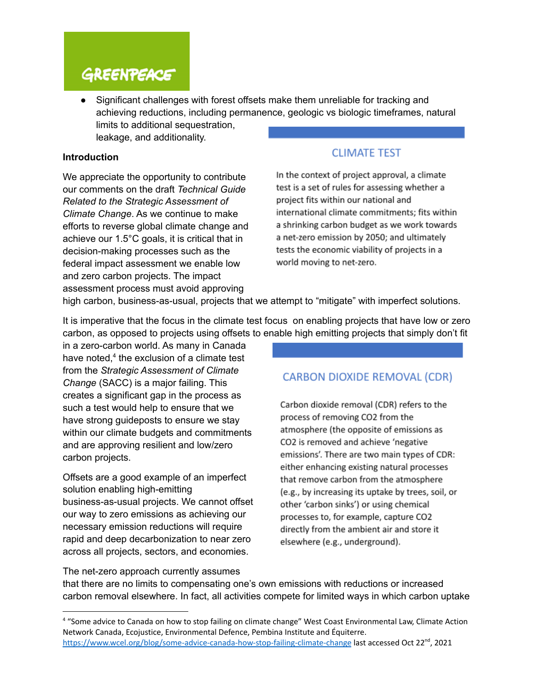● Significant challenges with forest offsets make them unreliable for tracking and achieving reductions, including permanence, geologic vs biologic timeframes, natural limits to additional sequestration,

leakage, and additionality.

#### **Introduction**

We appreciate the opportunity to contribute our comments on the draft *Technical Guide Related to the Strategic Assessment of Climate Change*. As we continue to make efforts to reverse global climate change and achieve our 1.5°C goals, it is critical that in decision-making processes such as the federal impact assessment we enable low and zero carbon projects. The impact assessment process must avoid approving

### **CLIMATE TEST**

In the context of project approval, a climate test is a set of rules for assessing whether a project fits within our national and international climate commitments; fits within a shrinking carbon budget as we work towards a net-zero emission by 2050; and ultimately tests the economic viability of projects in a world moving to net-zero.

high carbon, business-as-usual, projects that we attempt to "mitigate" with imperfect solutions.

It is imperative that the focus in the climate test focus on enabling projects that have low or zero carbon, as opposed to projects using offsets to enable high emitting projects that simply don't fit

in a zero-carbon world. As many in Canada have noted, $4$  the exclusion of a climate test from the *Strategic Assessment of Climate Change* (SACC) is a major failing. This creates a significant gap in the process as such a test would help to ensure that we have strong guideposts to ensure we stay within our climate budgets and commitments and are approving resilient and low/zero carbon projects.

Offsets are a good example of an imperfect solution enabling high-emitting business-as-usual projects. We cannot offset our way to zero emissions as achieving our necessary emission reductions will require rapid and deep decarbonization to near zero across all projects, sectors, and economies.

### **CARBON DIOXIDE REMOVAL (CDR)**

Carbon dioxide removal (CDR) refers to the process of removing CO2 from the atmosphere (the opposite of emissions as CO2 is removed and achieve 'negative emissions'. There are two main types of CDR: either enhancing existing natural processes that remove carbon from the atmosphere (e.g., by increasing its uptake by trees, soil, or other 'carbon sinks') or using chemical processes to, for example, capture CO2 directly from the ambient air and store it elsewhere (e.g., underground).

The net-zero approach currently assumes that there are no limits to compensating one's own emissions with reductions or increased carbon removal elsewhere. In fact, all activities compete for limited ways in which carbon uptake

<sup>4</sup> "Some advice to Canada on how to stop failing on climate change" West Coast Environmental Law, Climate Action Network Canada, Ecojustice, Environmental Defence, Pembina Institute and Équiterre. <https://www.wcel.org/blog/some-advice-canada-how-stop-failing-climate-change> last accessed Oct 22<sup>nd</sup>, 2021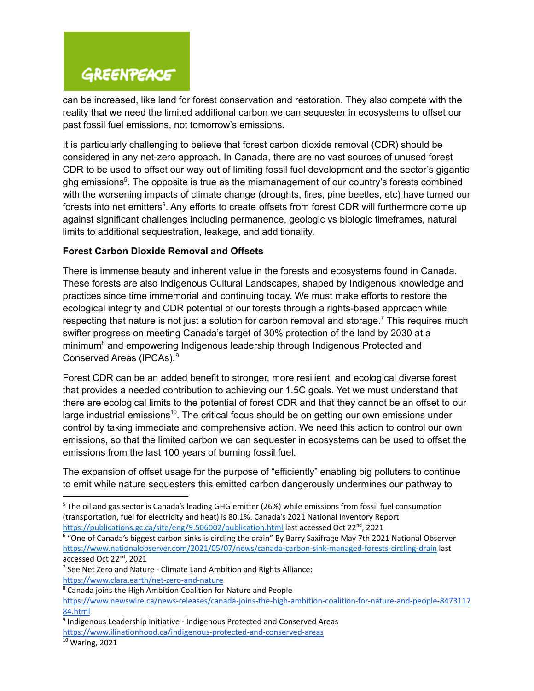can be increased, like land for forest conservation and restoration. They also compete with the reality that we need the limited additional carbon we can sequester in ecosystems to offset our past fossil fuel emissions, not tomorrow's emissions.

It is particularly challenging to believe that forest carbon dioxide removal (CDR) should be considered in any net-zero approach. In Canada, there are no vast sources of unused forest CDR to be used to offset our way out of limiting fossil fuel development and the sector's gigantic ghg emissions<sup>5</sup>. The opposite is true as the mismanagement of our country's forests combined with the worsening impacts of climate change (droughts, fires, pine beetles, etc) have turned our forests into net emitters<sup>6</sup>. Any efforts to create offsets from forest CDR will furthermore come up against significant challenges including permanence, geologic vs biologic timeframes, natural limits to additional sequestration, leakage, and additionality.

### **Forest Carbon Dioxide Removal and Offsets**

There is immense beauty and inherent value in the forests and ecosystems found in Canada. These forests are also Indigenous Cultural Landscapes, shaped by Indigenous knowledge and practices since time immemorial and continuing today. We must make efforts to restore the ecological integrity and CDR potential of our forests through a rights-based approach while respecting that nature is not just a solution for carbon removal and storage.<sup>7</sup> This requires much swifter progress on meeting Canada's target of 30% protection of the land by 2030 at a  $m$ inimum $8$  and empowering Indigenous leadership through Indigenous Protected and Conserved Areas (IPCAs). 9

Forest CDR can be an added benefit to stronger, more resilient, and ecological diverse forest that provides a needed contribution to achieving our 1.5C goals. Yet we must understand that there are ecological limits to the potential of forest CDR and that they cannot be an offset to our large industrial emissions<sup>10</sup>. The critical focus should be on getting our own emissions under control by taking immediate and comprehensive action. We need this action to control our own emissions, so that the limited carbon we can sequester in ecosystems can be used to offset the emissions from the last 100 years of burning fossil fuel.

The expansion of offset usage for the purpose of "efficiently" enabling big polluters to continue to emit while nature sequesters this emitted carbon dangerously undermines our pathway to

- <sup>7</sup> See Net Zero and Nature Climate Land Ambition and Rights Alliance: <https://www.clara.earth/net-zero-and-nature>
- <sup>8</sup> Canada joins the High Ambition Coalition for Nature and People

<sup>5</sup> The oil and gas sector is Canada's leading GHG emitter (26%) while emissions from fossil fuel consumption (transportation, fuel for electricity and heat) is 80.1%. Canada's 2021 National Inventory Report <https://publications.gc.ca/site/eng/9.506002/publication.html> last accessed Oct 22<sup>nd</sup>, 2021

<sup>6</sup> "One of Canada's biggest carbon sinks is circling the drain" By Barry Saxifrage May 7th 2021 National Observer <https://www.nationalobserver.com/2021/05/07/news/canada-carbon-sink-managed-forests-circling-drain> last accessed Oct 22<sup>nd</sup>, 2021

[https://www.newswire.ca/news-releases/canada-joins-the-high-ambition-coalition-for-nature-and-people-8473117](https://www.newswire.ca/news-releases/canada-joins-the-high-ambition-coalition-for-nature-and-people-847311784.html) [84.html](https://www.newswire.ca/news-releases/canada-joins-the-high-ambition-coalition-for-nature-and-people-847311784.html)

<sup>&</sup>lt;sup>9</sup> Indigenous Leadership Initiative - Indigenous Protected and Conserved Areas

<https://www.ilinationhood.ca/indigenous-protected-and-conserved-areas>

 $\overline{10}$  Waring, 2021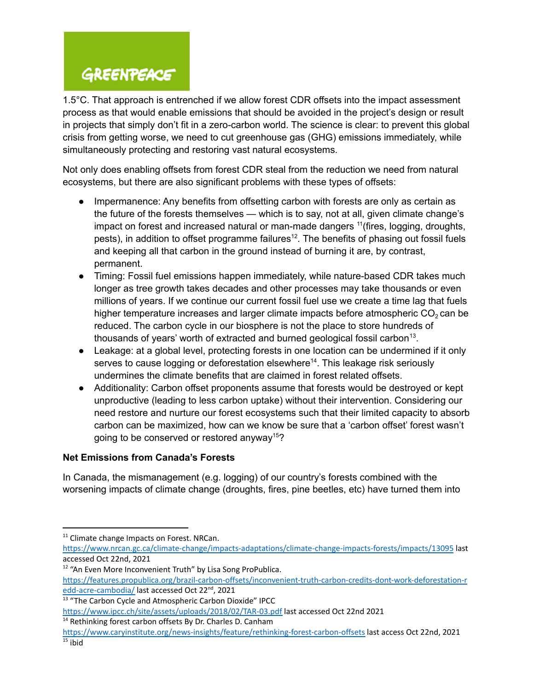1.5°C. That approach is entrenched if we allow forest CDR offsets into the impact assessment process as that would enable emissions that should be avoided in the project's design or result in projects that simply don't fit in a zero-carbon world. The science is clear: to prevent this global crisis from getting worse, we need to cut greenhouse gas (GHG) emissions immediately, while simultaneously protecting and restoring vast natural ecosystems.

Not only does enabling offsets from forest CDR steal from the reduction we need from natural ecosystems, but there are also significant problems with these types of offsets:

- Impermanence: Any benefits from offsetting carbon with forests are only as certain as the future of the forests themselves — which is to say, not at all, given climate change's impact on forest and increased natural or man-made dangers <sup>11</sup>(fires, logging, droughts, pests), in addition to offset programme failures<sup>12</sup>. The benefits of phasing out fossil fuels and keeping all that carbon in the ground instead of burning it are, by contrast, permanent.
- *●* Timing: Fossil fuel emissions happen immediately, while nature-based CDR takes much longer as tree growth takes decades and other processes may take thousands or even millions of years. If we continue our current fossil fuel use we create a time lag that fuels higher temperature increases and larger climate impacts before atmospheric  $CO<sub>2</sub>$  can be reduced. The carbon cycle in our biosphere is not the place to store hundreds of thousands of years' worth of extracted and burned geological fossil carbon<sup>13</sup>.
- Leakage: at a global level, protecting forests in one location can be undermined if it only serves to cause logging or deforestation elsewhere<sup>14</sup>. This leakage risk seriously undermines the climate benefits that are claimed in forest related offsets.
- Additionality: Carbon offset proponents assume that forests would be destroyed or kept unproductive (leading to less carbon uptake) without their intervention. Considering our need restore and nurture our forest ecosystems such that their limited capacity to absorb carbon can be maximized, how can we know be sure that a 'carbon offset' forest wasn't going to be conserved or restored anyway<sup>15</sup>?

### **Net Emissions from Canada's Forests**

In Canada, the mismanagement (e.g. logging) of our country's forests combined with the worsening impacts of climate change (droughts, fires, pine beetles, etc) have turned them into

<sup>&</sup>lt;sup>11</sup> Climate change Impacts on Forest. NRCan.

<https://www.nrcan.gc.ca/climate-change/impacts-adaptations/climate-change-impacts-forests/impacts/13095> last accessed Oct 22nd, 2021

<sup>&</sup>lt;sup>12</sup> "An Even More Inconvenient Truth" by Lisa Song ProPublica.

[https://features.propublica.org/brazil-carbon-offsets/inconvenient-truth-carbon-credits-dont-work-deforestation-r](https://features.propublica.org/brazil-carbon-offsets/inconvenient-truth-carbon-credits-dont-work-deforestation-redd-acre-cambodia/) [edd-acre-cambodia/](https://features.propublica.org/brazil-carbon-offsets/inconvenient-truth-carbon-credits-dont-work-deforestation-redd-acre-cambodia/) last accessed Oct 22<sup>nd</sup>, 2021

<sup>&</sup>lt;sup>13</sup> "The Carbon Cycle and Atmospheric Carbon Dioxide" IPCC

<https://www.ipcc.ch/site/assets/uploads/2018/02/TAR-03.pdf> last accessed Oct 22nd 2021

 $14$  Rethinking forest carbon offsets By Dr. Charles D. Canham

 $15$  ibid <https://www.caryinstitute.org/news-insights/feature/rethinking-forest-carbon-offsets> last access Oct 22nd, 2021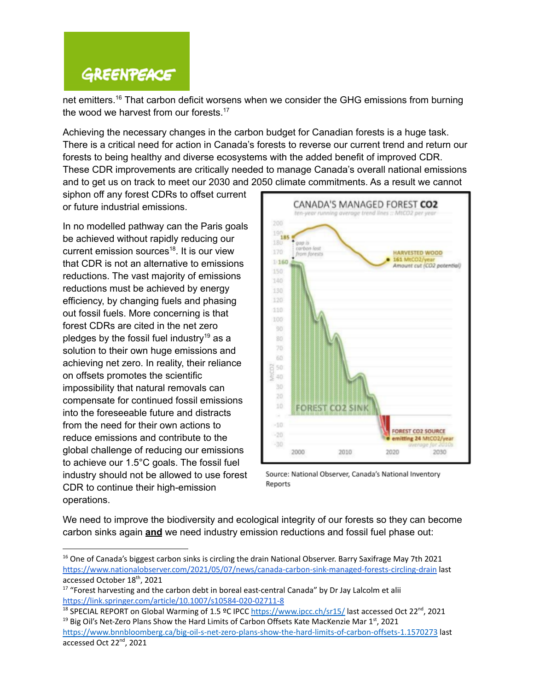net emitters.<sup>16</sup> That carbon deficit worsens when we consider the GHG emissions from burning the wood we harvest from our forests.<sup>17</sup>

Achieving the necessary changes in the carbon budget for Canadian forests is a huge task. There is a critical need for action in Canada's forests to reverse our current trend and return our forests to being healthy and diverse ecosystems with the added benefit of improved CDR. These CDR improvements are critically needed to manage Canada's overall national emissions and to get us on track to meet our 2030 and 2050 climate commitments. As a result we cannot

siphon off any forest CDRs to offset current or future industrial emissions.

In no modelled pathway can the Paris goals be achieved without rapidly reducing our current emission sources<sup>18</sup>. It is our view that CDR is not an alternative to emissions reductions. The vast majority of emissions reductions must be achieved by energy efficiency, by changing fuels and phasing out fossil fuels. More concerning is that forest CDRs are cited in the net zero pledges by the fossil fuel industry<sup>19</sup> as a solution to their own huge emissions and achieving net zero. In reality, their reliance on offsets promotes the scientific impossibility that natural removals can compensate for continued fossil emissions into the foreseeable future and distracts from the need for their own actions to reduce emissions and contribute to the global challenge of reducing our emissions to achieve our 1.5°C goals. The fossil fuel industry should not be allowed to use forest CDR to continue their high-emission operations.



Source: National Observer, Canada's National Inventory Reports

We need to improve the biodiversity and ecological integrity of our forests so they can become carbon sinks again **and** we need industry emission reductions and fossil fuel phase out:

<sup>&</sup>lt;sup>16</sup> One of Canada's biggest carbon sinks is circling the drain National Observer. Barry Saxifrage May 7th 2021 <https://www.nationalobserver.com/2021/05/07/news/canada-carbon-sink-managed-forests-circling-drain> last accessed October 18<sup>th</sup>, 2021

<sup>&</sup>lt;sup>17</sup> "Forest harvesting and the carbon debt in boreal east-central Canada" by Dr Jay Lalcolm et alii <https://link.springer.com/article/10.1007/s10584-020-02711-8>

<sup>&</sup>lt;sup>19</sup> Big Oil's Net-Zero Plans Show the Hard Limits of Carbon Offsets Kate MacKenzie Mar 1st, 2021 18 SPECIAL REPORT on Global Warming of 1.5 °C IPCC <https://www.ipcc.ch/sr15/> last accessed Oct 22<sup>nd</sup>, 2021

<https://www.bnnbloomberg.ca/big-oil-s-net-zero-plans-show-the-hard-limits-of-carbon-offsets-1.1570273> last accessed Oct 22<sup>nd</sup>, 2021